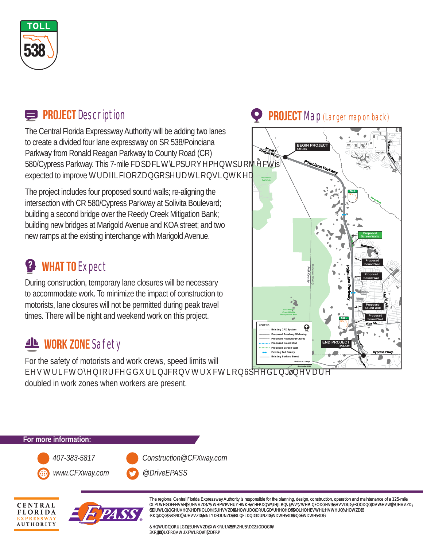

#### **PROJECT** Description

The Central Florida Expressway Authority will be adding two lanes to create a divided four lane expressway on SR 538/Poinciana Parkway from Ronald Reagan Parkway to County Road (CR) 580/Cypress Parkway. This 7-mile FDSDFLORENTIANHEV expected to improve **NLORZGSEMULH** 

The project includes four proposed sound walls; re-aligning the intersection with CR 580/Cypress Parkway at Solivita Boulevard; building a second bridge over the Reedy Creek Mitigation Bank; building new bridges at Marigold Avenue and KOA street; and two new ramps at the existing interchange with Marigold Avenue.

## **<sup>2</sup>** WHAT TO Expect

During construction, temporary lane closures will be necessary to accommodate work. To minimize the impact of construction to motorists, lane closures will not be permitted during peak travel times. There will be night and weekend work on this project.

### **WORK ZONE** Safety

For the safety of motorists and work crews, speed limits will E**HVAREKRMAGAH** 

doubled in work zones when workers are present.

#### **PROJECT** Map (Larger map on back)



**For more information:** *407-383-5817 Construction@CFXway.com www.CFXway.com @DriveEPASS*





The regional Central Florida Expressway Authority is responsible for the planning, design, construction, operation and maintenance of a 125-mile